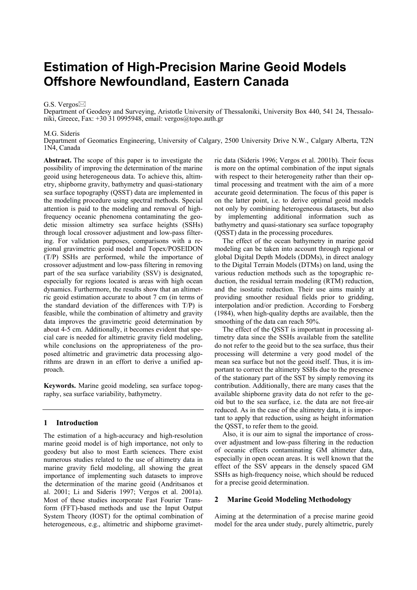# **Estimation of High-Precision Marine Geoid Models Offshore Newfoundland, Eastern Canada**

#### G.S. Vergos⊠

Department of Geodesy and Surveying, Aristotle University of Thessaloniki, University Box 440, 541 24, Thessaloniki, Greece, Fax: +30 31 0995948, email: vergos@topo.auth.gr

#### M.G. Sideris

Department of Geomatics Engineering, University of Calgary, 2500 University Drive N.W., Calgary Alberta, T2N 1N4, Canada

**Abstract.** The scope of this paper is to investigate the possibility of improving the determination of the marine geoid using heterogeneous data. To achieve this, altimetry, shipborne gravity, bathymetry and quasi-stationary sea surface topography (QSST) data are implemented in the modeling procedure using spectral methods. Special attention is paid to the modeling and removal of highfrequency oceanic phenomena contaminating the geodetic mission altimetry sea surface heights (SSHs) through local crossover adjustment and low-pass filtering. For validation purposes, comparisons with a regional gravimetric geoid model and Topex/POSEIDON (T/P) SSHs are performed, while the importance of crossover adjustment and low-pass filtering in removing part of the sea surface variability (SSV) is designated, especially for regions located is areas with high ocean dynamics. Furthermore, the results show that an altimetric geoid estimation accurate to about 7 cm (in terms of the standard deviation of the differences with T/P) is feasible, while the combination of altimetry and gravity data improves the gravimetric geoid determination by about 4-5 cm. Additionally, it becomes evident that special care is needed for altimetric gravity field modeling, while conclusions on the appropriateness of the proposed altimetric and gravimetric data processing algorithms are drawn in an effort to derive a unified approach.

**Keywords.** Marine geoid modeling, sea surface topography, sea surface variability, bathymetry.

## **1 Introduction**

The estimation of a high-accuracy and high-resolution marine geoid model is of high importance, not only to geodesy but also to most Earth sciences. There exist numerous studies related to the use of altimetry data in marine gravity field modeling, all showing the great importance of implementing such datasets to improve the determination of the marine geoid (Andritsanos et al. 2001; Li and Sideris 1997; Vergos et al. 2001a). Most of these studies incorporate Fast Fourier Transform (FFT)-based methods and use the Input Output System Theory (IOST) for the optimal combination of heterogeneous, e.g., altimetric and shipborne gravimetric data (Sideris 1996; Vergos et al. 2001b). Their focus is more on the optimal combination of the input signals with respect to their heterogeneity rather than their optimal processing and treatment with the aim of a more accurate geoid determination. The focus of this paper is on the latter point, i.e. to derive optimal geoid models not only by combining heterogeneous datasets, but also by implementing additional information such as bathymetry and quasi-stationary sea surface topography (QSST) data in the processing procedures.

The effect of the ocean bathymetry in marine geoid modeling can be taken into account through regional or global Digital Depth Models (DDMs), in direct analogy to the Digital Terrain Models (DTMs) on land, using the various reduction methods such as the topographic reduction, the residual terrain modeling (RTM) reduction, and the isostatic reduction. Their use aims mainly at providing smoother residual fields prior to gridding, interpolation and/or prediction. According to Forsberg (1984), when high-quality depths are available, then the smoothing of the data can reach 50%.

The effect of the QSST is important in processing altimetry data since the SSHs available from the satellite do not refer to the geoid but to the sea surface, thus their processing will determine a very good model of the mean sea surface but not the geoid itself. Thus, it is important to correct the altimetry SSHs due to the presence of the stationary part of the SST by simply removing its contribution. Additionally, there are many cases that the available shipborne gravity data do not refer to the geoid but to the sea surface, i.e. the data are not free-air reduced. As in the case of the altimetry data, it is important to apply that reduction, using as height information the QSST, to refer them to the geoid.

Also, it is our aim to signal the importance of crossover adjustment and low-pass filtering in the reduction of oceanic effects contaminating GM altimeter data, especially in open ocean areas. It is well known that the effect of the SSV appears in the densely spaced GM SSHs as high-frequency noise, which should be reduced for a precise geoid determination.

## **2 Marine Geoid Modeling Methodology**

Aiming at the determination of a precise marine geoid model for the area under study, purely altimetric, purely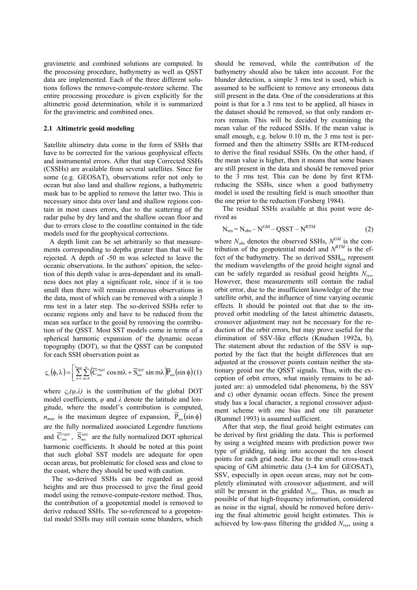gravimetric and combined solutions are computed. In the processing procedure, bathymetry as well as QSST data are implemented. Each of the three different solutions follows the remove-compute-restore scheme. The entire processing procedure is given explicitly for the altimetric geoid determination, while it is summarized for the gravimetric and combined ones.

#### **2.1 Altimetric geoid modeling**

Satellite altimetry data come in the form of SSHs that have to be corrected for the various geophysical effects and instrumental errors. After that step Corrected SSHs (CSSHs) are available from several satellites. Since for some (e.g. GEOSAT), observations refer not only to ocean but also land and shallow regions, a bathymetric mask has to be applied to remove the latter two. This is necessary since data over land and shallow regions contain in most cases errors, due to the scattering of the radar pulse by dry land and the shallow ocean floor and due to errors close to the coastline contained in the tide models used for the geophysical corrections.

A depth limit can be set arbitrarily so that measurements corresponding to depths greater than that will be rejected. A depth of -50 m was selected to leave the oceanic observations. In the authors' opinion, the selection of this depth value is area-dependant and its smallness does not play a significant role, since if it is too small then there will remain erroneous observations in the data, most of which can be removed with a simple 3 rms test in a later step. The so-derived SSHs refer to oceanic regions only and have to be reduced from the mean sea surface to the geoid by removing the contribution of the QSST. Most SST models come in terms of a spherical harmonic expansion of the dynamic ocean topography (DOT), so that the QSST can be computed for each SSH observation point as

$$
\varsigma_{\rm c}\big(\boldsymbol{\varphi},\boldsymbol{\lambda}\big)\!=\!\bigg[\sum_{\rm n=l}^{\rm n_{max}}\sum_{m=0}^{\rm n}\!\left(\!\overline{C}_{\rm nm}^{\rm \, s s s \rm T}\cos m\boldsymbol{\lambda}+\overline{S}_{\rm nm}^{\rm \, s s \rm T}\sin m\boldsymbol{\lambda}\right)\!\overline{P}_{\rm nm}\!\left(\!\sin\varphi\right)\!(1)
$$

where  $\varsigma_c(\varphi,\lambda)$  is the contribution of the global DOT model coefficients, *φ* and *λ* denote the latitude and longitude, where the model's contribution is computed,  $n_{max}$  is the maximum degree of expansion,  $\overline{P}_{nm}(\sin \phi)$ are the fully normalized associated Legendre functions and  $\overline{C}_{nm}^{ssst}$ ,  $\overline{S}_{nm}^{ssst}$  are the fully normalized DOT spherical harmonic coefficients. It should be noted at this point that such global SST models are adequate for open ocean areas, but problematic for closed seas and close to the coast, where they should be used with caution.

The so-derived SSHs can be regarded as geoid heights and are thus processed to give the final geoid model using the remove-compute-restore method. Thus, the contribution of a geopotential model is removed to derive reduced SSHs. The so-referenced to a geopotential model SSHs may still contain some blunders, which should be removed, while the contribution of the bathymetry should also be taken into account. For the blunder detection, a simple 3 rms test is used, which is assumed to be sufficient to remove any erroneous data still present in the data. One of the considerations at this point is that for a 3 rms test to be applied, all biases in the dataset should be removed, so that only random errors remain. This will be decided by examining the mean value of the reduced SSHs. If the mean value is small enough, e.g. below  $0.10$  m, the 3 rms test is performed and then the altimetry SSHs are RTM-reduced to derive the final residual SSHs. On the other hand, if the mean value is higher, then it means that some biases are still present in the data and should be removed prior to the 3 rms test. This can be done by first RTMreducing the SSHs, since when a good bathymetry model is used the resulting field is much smoother than the one prior to the reduction (Forsberg 1984).

The residual SSHs available at this point were derived as

$$
N_{res} = N_{obs} - N^{GM} - QSST - N^{RTM}
$$
 (2)

where  $N_{obs}$  denotes the observed SSHs,  $N^{GM}$  is the contribution of the geopotential model and  $N^{RTM}$  is the effect of the bathymetry. The so derived SSH<sub>res</sub> represent the medium wavelengths of the geoid height signal and can be safely regarded as residual geoid heights *Nres*. However, these measurements still contain the radial orbit error, due to the insufficient knowledge of the true satellite orbit, and the influence of time varying oceanic effects. It should be pointed out that due to the improved orbit modeling of the latest altimetric datasets, crossover adjustment may not be necessary for the reduction of the orbit errors, but may prove useful for the elimination of SSV-like effects (Knudsen 1992a, b). The statement about the reduction of the SSV is supported by the fact that the height differences that are adjusted at the crossover points contain neither the stationary geoid nor the QSST signals. Thus, with the exception of orbit errors, what mainly remains to be adjusted are: a) unmodeled tidal phenomena, b) the SSV and c) other dynamic ocean effects. Since the present study has a local character, a regional crossover adjustment scheme with one bias and one tilt parameter (Rummel 1993) is assumed sufficient.

After that step, the final geoid height estimates can be derived by first gridding the data. This is performed by using a weighted means with prediction power two type of gridding, taking into account the ten closest points for each grid node. Due to the small cross-track spacing of GM altimetric data (3-4 km for GEOSAT), SSV, especially in open ocean areas, may not be completely eliminated with crossover adjustment, and will still be present in the gridded *Nres*. Thus, as much as possible of that high-frequency information, considered as noise in the signal, should be removed before deriving the final altimetric geoid height estimates. This is achieved by low-pass filtering the gridded *Nres*, using a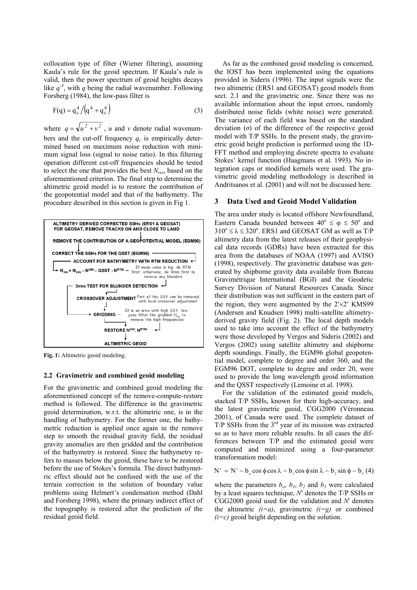collocation type of filter (Wiener filtering), assuming Kaula's rule for the geoid spectrum. If Kaula's rule is valid, then the power spectrum of geoid heights decays like  $q^4$ , with *q* being the radial wavenumber. Following Forsberg (1984), the low-pass filter is

$$
F(q) = q_c^4 / (q^4 + q_c^4)
$$
 (3)

where  $q = \sqrt{u^2 + v^2}$ , *u* and *v* denote radial wavenumbers and the cut-off frequency  $q_c$  is empirically determined based on maximum noise reduction with minimum signal loss (signal to noise ratio). In this filtering operation different cut-off frequencies should be tested to select the one that provides the best *Nres*, based on the aforementioned criterion. The final step to determine the altimetric geoid model is to restore the contribution of the geopotential model and that of the bathymetry. The procedure described in this section is given in Fig 1.



Fig. 1: Altimetric geoid modeling.

## **2.2 Gravimetric and combined geoid modeling**

For the gravimetric and combined geoid modeling the aforementioned concept of the remove-compute-restore method is followed. The difference in the gravimetric geoid determination, w.r.t. the altimetric one, is in the handling of bathymetry. For the former one, the bathymetric reduction is applied once again in the remove step to smooth the residual gravity field, the residual gravity anomalies are then gridded and the contribution of the bathymetry is restored. Since the bathymetry refers to masses below the geoid, these have to be restored before the use of Stokes's formula. The direct bathymetric effect should not be confused with the use of the terrain correction in the solution of boundary value problems using Helmert's condensation method (Dahl and Forsberg 1998), where the primary indirect effect of the topography is restored after the prediction of the residual geoid field.

As far as the combined geoid modeling is concerned, the IOST has been implemented using the equations provided in Sideris (1996). The input signals were the two altimetric (ERS1 and GEOSAT) geoid models from sect. 2.1 and the gravimetric one. Since there was no available information about the input errors, randomly distributed noise fields (white noise) were generated. The variance of each field was based on the standard deviation (*σ*) of the difference of the respective geoid model with T/P SSHs. In the present study, the gravimetric geoid height prediction is performed using the 1D-FFT method and employing discrete spectra to evaluate Stokes' kernel function (Haagmans et al. 1993). No integration caps or modified kernels were used. The gravimetric geoid modeling methodology is described in Andritsanos et al. (2001) and will not be discussed here.

## **3 Data Used and Geoid Model Validation**

The area under study is located offshore Newfoundland, Eastern Canada bounded between  $40^{\circ} \le \varphi \le 50^{\circ}$  and  $310^{\circ} \le \lambda \le 320^{\circ}$ . ERS1 and GEOSAT GM as well as T/P altimetry data from the latest releases of their geophysical data records (GDRs) have been extracted for this area from the databases of NOAA (1997) and AVISO (1998), respectively. The gravimetric database was generated by shipborne gravity data available from Bureau Gravimétrique International (BGI) and the Geodetic Survey Division of Natural Resources Canada. Since their distribution was not sufficient in the eastern part of the region, they were augmented by the  $2' \times 2'$  KMS99 (Andersen and Knudsen 1998) multi-satellite altimetryderived gravity field (Fig. 2). The local depth models used to take into account the effect of the bathymetry were those developed by Vergos and Sideris (2002) and Vergos (2002) using satellite altimetry and shipborne depth soundings. Finally, the EGM96 global geopotential model, complete to degree and order 360, and the EGM96 DOT, complete to degree and order 20, were used to provide the long wavelength geoid information and the QSST respectively (Lemoine et al. 1998).

For the validation of the estimated geoid models, stacked T/P SSHs, known for their high-accuracy, and the latest gravimetric geoid, CGG2000 (Véronneau 2001), of Canada were used. The complete dataset of  $T/P$  SSHs from the  $3<sup>rd</sup>$  year of its mission was extracted so as to have more reliable results. In all cases the differences between T/P and the estimated geoid were computed and minimized using a four-parameter transformation model:

 $N^{\nu} = N^{i} - b_{o} \cos \phi \cos \lambda - b_{i} \cos \phi \sin \lambda - b_{i} \sin \phi - b_{i} (4)$ 

where the parameters  $b_0$ ,  $b_1$ ,  $b_2$  and  $b_3$  were calculated by a least squares technique,  $N^{\nu}$  denotes the T/P SSHs or  $CGG2000$  geoid used for the validation and  $N<sup>i</sup>$  denotes the altimetric  $(i=a)$ , gravimetric  $(i=g)$  or combined *(i=c)* geoid height depending on the solution.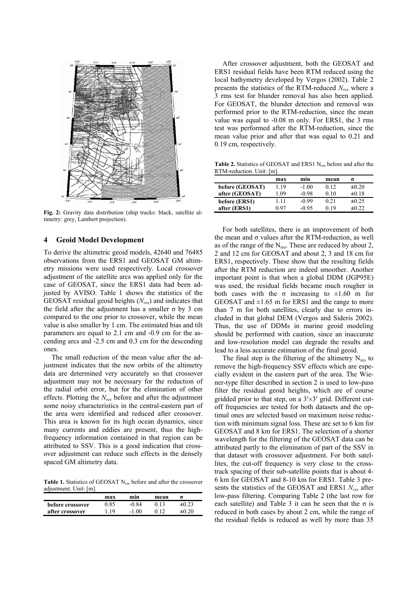

**Fig. 2:** Gravity data distribution (ship tracks: black, satellite altimetry: grey, Lambert projection).

#### **4 Geoid Model Development**

To derive the altimetric geoid models, 42640 and 76485 observations from the ERS1 and GEOSAT GM altimetry missions were used respectively. Local crossover adjustment of the satellite arcs was applied only for the case of GEOSAT, since the ERS1 data had been adjusted by AVISO. Table 1 shows the statistics of the GEOSAT residual geoid heights (*Nres*) and indicates that the field after the adjustment has a smaller  $σ$  by 3 cm compared to the one prior to crossover, while the mean value is also smaller by 1 cm. The estimated bias and tilt parameters are equal to 2.1 cm and -0.9 cm for the ascending arcs and -2.5 cm and 0.3 cm for the descending ones.

The small reduction of the mean value after the adjustment indicates that the new orbits of the altimetry data are determined very accurately so that crossover adjustment may not be necessary for the reduction of the radial orbit error, but for the elimination of other effects. Plotting the *Nres* before and after the adjustment some noisy characteristics in the central-eastern part of the area were identified and reduced after crossover. This area is known for its high ocean dynamics, since many currents and eddies are present, thus the highfrequency information contained in that region can be attributed to SSV. This is a good indication that crossover adjustment can reduce such effects in the densely spaced GM altimetry data.

Table 1. Statistics of GEOSAT N<sub>res</sub> before and after the crossover adjustment. Unit: [m].

|                  | max  | min     | mean |            |
|------------------|------|---------|------|------------|
| before crossover | 0.85 | -0.84   | 0.13 | $\pm 0.23$ |
| after crossover  | 1.19 | $-1.00$ |      | ±0 20      |

After crossover adjustment, both the GEOSAT and ERS1 residual fields have been RTM reduced using the local bathymetry developed by Vergos (2002). Table 2 presents the statistics of the RTM-reduced *Nres* where a 3 rms test for blunder removal has also been applied. For GEOSAT, the blunder detection and removal was performed prior to the RTM-reduction, since the mean value was equal to -0.08 m only. For ERS1, the 3 rms test was performed after the RTM-reduction, since the mean value prior and after that was equal to 0.21 and 0.19 cm, respectively.

Table 2. Statistics of GEOSAT and ERS1 N<sub>res</sub> before and after the RTM-reduction. Unit: [m].

|                 | max  | min     | mean | σ          |
|-----------------|------|---------|------|------------|
| before (GEOSAT) | 1.19 | $-1.00$ | 0.12 | $\pm 0.20$ |
| after (GEOSAT)  | .09  | $-0.98$ | 0.10 | $\pm 0.18$ |
| before (ERS1)   | 111  | $-0.99$ | 0.21 | $\pm 0.25$ |
| after (ERS1)    | በ 97 | -0.95   | 0.19 | $\pm 0.22$ |

For both satellites, there is an improvement of both the mean and  $\sigma$  values after the RTM-reduction, as well as of the range of the  $N_{res}$ . These are reduced by about 2, 2 and 12 cm for GEOSAT and about 2, 3 and 18 cm for ERS1, respectively. These show that the resulting fields after the RTM reduction are indeed smoother. Another important point is that when a global DDM (JGP95E) was used, the residual fields became much rougher in both cases with the  $\sigma$  increasing to  $\pm 1.60$  m for GEOSAT and  $\pm 1.65$  m for ERS1 and the range to more than 7 m for both satellites, clearly due to errors included in that global DEM (Vergos and Sideris 2002). Thus, the use of DDMs in marine geoid modeling should be performed with caution, since an inaccurate and low-resolution model can degrade the results and lead to a less accurate estimation of the final geoid.

The final step is the filtering of the altimetry  $N_{res}$  to remove the high-frequency SSV effects which are especially evident in the eastern part of the area. The Wiener-type filter described in section 2 is used to low-pass filter the residual geoid heights, which are of course gridded prior to that step, on a  $3' \times 3'$  grid. Different cutoff frequencies are tested for both datasets and the optimal ones are selected based on maximum noise reduction with minimum signal loss. These are set to 6 km for GEOSAT and 8 km for ERS1. The selection of a shorter wavelength for the filtering of the GEOSAT data can be attributed partly to the elimination of part of the SSV in that dataset with crossover adjustment. For both satellites, the cut-off frequency is very close to the crosstrack spacing of their sub-satellite points that is about 4- 6 km for GEOSAT and 8-10 km for ERS1. Table 3 presents the statistics of the GEOSAT and ERS1 *Nres* after low-pass filtering. Comparing Table 2 (the last row for each satellite) and Table 3 it can be seen that the  $\sigma$  is reduced in both cases by about 2 cm, while the range of the residual fields is reduced as well by more than 35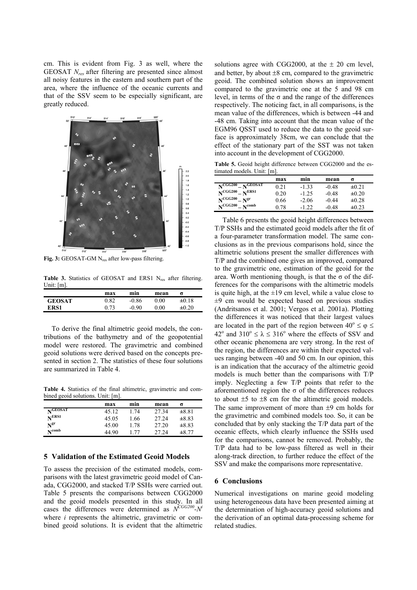cm. This is evident from Fig. 3 as well, where the GEOSAT *Nres* after filtering are presented since almost all noisy features in the eastern and southern part of the area, where the influence of the oceanic currents and that of the SSV seem to be especially significant, are greatly reduced.



Fig. 3: GEOSAT-GM N<sub>res</sub> after low-pass filtering.

Table 3. Statistics of GEOSAT and ERS1 N<sub>res</sub> after filtering. Unit: [m].

|               | max  | min     | mean           | σ          |
|---------------|------|---------|----------------|------------|
| <b>GEOSAT</b> | 0.82 | $-0.86$ | $0.00\,$       | $\pm 0.18$ |
| ERS1          | 0.73 | $-0.90$ | $0.00^{\circ}$ | $\pm 0.20$ |

To derive the final altimetric geoid models, the contributions of the bathymetry and of the geopotential model were restored. The gravimetric and combined geoid solutions were derived based on the concepts presented in section 2. The statistics of these four solutions are summarized in Table 4.

**Table 4.** Statistics of the final altimetric, gravimetric and combined geoid solutions. Unit: [m].

|                              | max   | min  | mean  |            |
|------------------------------|-------|------|-------|------------|
| $\mathbf{N}^{\text{GEOSAT}}$ | 45.12 | 174  | 27 34 | $\pm 8.81$ |
| N <sup>ERS1</sup>            | 45.05 | 1.66 | 27.24 | $\pm 8.83$ |
| $\mathbf{N}^{\mathbf{gr}}$   | 45.00 | 178  | 27.20 | $\pm 8.83$ |
| $N^{\text{comb}}$            | 44.90 | 177  | 27.24 | $\pm 8.77$ |

## **5 Validation of the Estimated Geoid Models**

To assess the precision of the estimated models, comparisons with the latest gravimetric geoid model of Canada, CGG2000, and stacked T/P SSHs were carried out. Table 5 presents the comparisons between CGG2000 and the geoid models presented in this study. In all cases the differences were determined as  $N^{CGG200} - N^{i}$ where *i* represents the altimetric, gravimetric or combined geoid solutions. It is evident that the altimetric solutions agree with CGG2000, at the  $\pm$  20 cm level, and better, by about  $\pm 8$  cm, compared to the gravimetric geoid. The combined solution shows an improvement compared to the gravimetric one at the 5 and 98 cm level, in terms of the  $\sigma$  and the range of the differences respectively. The noticing fact, in all comparisons, is the mean value of the differences, which is between -44 and -48 cm. Taking into account that the mean value of the EGM96 QSST used to reduce the data to the geoid surface is approximately 38cm, we can conclude that the effect of the stationary part of the SST was not taken into account in the development of CGG2000.

**Table 5.** Geoid height difference between CGG2000 and the estimated models. Unit: [m].

| $NCGG200 - NGEOSAT$<br>$-1.33$<br>$\pm 0.21$<br>-0.48<br>0.21                     |  |                                          |
|-----------------------------------------------------------------------------------|--|------------------------------------------|
|                                                                                   |  |                                          |
| $-1.25$<br>-0.48<br>$\pm 0.20$<br>0.20                                            |  | N <sub>CGG200</sub><br>N <sup>ERS1</sup> |
| $N^{CGG200} - N^{gr}$<br>0.66<br>$\pm 0.28$<br>$-2.06$<br>$-0.44$                 |  |                                          |
| N <sub>CGG200</sub><br>$N^{\text{comb}}$<br>$-122$<br>-0.48<br>$\pm 0.23$<br>0 78 |  |                                          |

Table 6 presents the geoid height differences between T/P SSHs and the estimated geoid models after the fit of a four-parameter transformation model. The same conclusions as in the previous comparisons hold, since the altimetric solutions present the smaller differences with T/P and the combined one gives an improved, compared to the gravimetric one, estimation of the geoid for the area. Worth mentioning though, is that the  $\sigma$  of the differences for the comparisons with the altimetric models is quite high, at the  $\pm 19$  cm level, while a value close to  $\pm$ 9 cm would be expected based on previous studies (Andritsanos et al. 2001; Vergos et al. 2001a). Plotting the differences it was noticed that their largest values are located in the part of the region between  $40^{\circ} \le \varphi \le$ 42<sup>o</sup> and 310<sup>o</sup>  $\le \lambda \le 316$ <sup>o</sup> where the effects of SSV and other oceanic phenomena are very strong. In the rest of the region, the differences are within their expected values ranging between -40 and 50 cm. In our opinion, this is an indication that the accuracy of the altimetric geoid models is much better than the comparisons with T/P imply. Neglecting a few T/P points that refer to the aforementioned region the  $\sigma$  of the differences reduces to about  $\pm 5$  to  $\pm 8$  cm for the altimetric geoid models. The same improvement of more than  $\pm 9$  cm holds for the gravimetric and combined models too. So, it can be concluded that by only stacking the T/P data part of the oceanic effects, which clearly influence the SSHs used for the comparisons, cannot be removed. Probably, the T/P data had to be low-pass filtered as well in their along-track direction, to further reduce the effect of the SSV and make the comparisons more representative.

#### **6 Conclusions**

Numerical investigations on marine geoid modeling using heterogeneous data have been presented aiming at the determination of high-accuracy geoid solutions and the derivation of an optimal data-processing scheme for related studies.